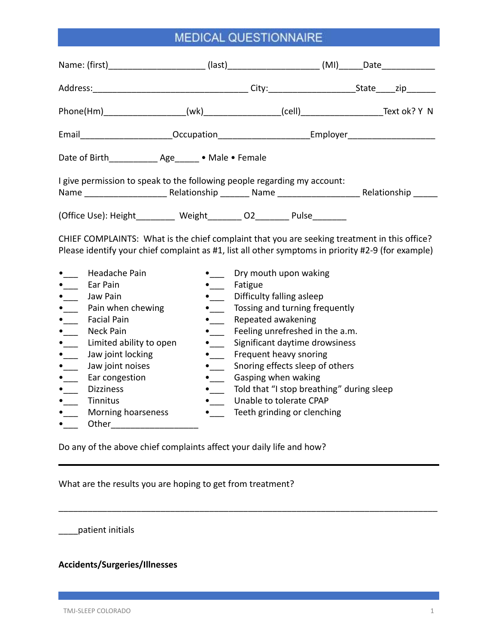| Name: (first)__________________________(last)_________________________(MI)______Date_______________                                                                                                                                                                                                                                                                                                                                 |                                                                                                                                                                                                    |                                                                                                                                                                                                                                                                                                                                                                            |  |  |  |
|-------------------------------------------------------------------------------------------------------------------------------------------------------------------------------------------------------------------------------------------------------------------------------------------------------------------------------------------------------------------------------------------------------------------------------------|----------------------------------------------------------------------------------------------------------------------------------------------------------------------------------------------------|----------------------------------------------------------------------------------------------------------------------------------------------------------------------------------------------------------------------------------------------------------------------------------------------------------------------------------------------------------------------------|--|--|--|
|                                                                                                                                                                                                                                                                                                                                                                                                                                     |                                                                                                                                                                                                    |                                                                                                                                                                                                                                                                                                                                                                            |  |  |  |
|                                                                                                                                                                                                                                                                                                                                                                                                                                     |                                                                                                                                                                                                    |                                                                                                                                                                                                                                                                                                                                                                            |  |  |  |
| Email________________________Occupation__________________________Employer__________________________                                                                                                                                                                                                                                                                                                                                 |                                                                                                                                                                                                    |                                                                                                                                                                                                                                                                                                                                                                            |  |  |  |
| Date of Birth______________ Age______ . Male . Female                                                                                                                                                                                                                                                                                                                                                                               |                                                                                                                                                                                                    |                                                                                                                                                                                                                                                                                                                                                                            |  |  |  |
| I give permission to speak to the following people regarding my account:                                                                                                                                                                                                                                                                                                                                                            |                                                                                                                                                                                                    |                                                                                                                                                                                                                                                                                                                                                                            |  |  |  |
| (Office Use): Height________ Weight_______ O2_______ Pulse_______                                                                                                                                                                                                                                                                                                                                                                   |                                                                                                                                                                                                    |                                                                                                                                                                                                                                                                                                                                                                            |  |  |  |
| CHIEF COMPLAINTS: What is the chief complaint that you are seeking treatment in this office?<br>Please identify your chief complaint as #1, list all other symptoms in priority #2-9 (for example)                                                                                                                                                                                                                                  |                                                                                                                                                                                                    |                                                                                                                                                                                                                                                                                                                                                                            |  |  |  |
| Headache Pain<br>Ear Pain<br>$\bullet$<br>Jaw Pain<br>$\bullet$<br>Pain when chewing<br>$\bullet$<br><b>Facial Pain</b><br>$\overline{\ }$<br>$\bullet$<br>Neck Pain<br>Limited ability to open<br>$\bullet$ $\qquad$<br>Jaw joint locking<br>$\bullet$<br>$\bullet$<br>Jaw joint noises<br>Ear congestion<br>$\bullet$ $\qquad$<br><b>Dizziness</b><br>$\mathbf{L}$<br>Tinnitus<br>$\mathbf{r}$<br>Morning hoarseness<br>$\bullet$ | $\bullet$<br>Fatigue<br>$\bullet$ $\qquad$<br>$\bullet$<br>$\bullet$<br>$\bullet$<br>$\bullet$<br>$\bullet$<br>$\bullet$<br>$\bullet$<br>$\bullet$<br>$\bullet$ $\mathbf{r}$<br>$\bullet$ $\qquad$ | Dry mouth upon waking<br>Difficulty falling asleep<br>Tossing and turning frequently<br>Repeated awakening<br>Feeling unrefreshed in the a.m.<br>Significant daytime drowsiness<br>Frequent heavy snoring<br>Snoring effects sleep of others<br>Gasping when waking<br>Told that "I stop breathing" during sleep<br>Unable to tolerate CPAP<br>Teeth grinding or clenching |  |  |  |

\_\_\_\_\_\_\_\_\_\_\_\_\_\_\_\_\_\_\_\_\_\_\_\_\_\_\_\_\_\_\_\_\_\_\_\_\_\_\_\_\_\_\_\_\_\_\_\_\_\_\_\_\_\_\_\_\_\_\_\_\_\_\_\_\_\_\_\_\_\_\_\_\_\_\_\_\_\_

Do any of the above chief complaints affect your daily life and how?

What are the results you are hoping to get from treatment?

\_\_\_\_patient initials

### **Accidents/Surgeries/Illnesses**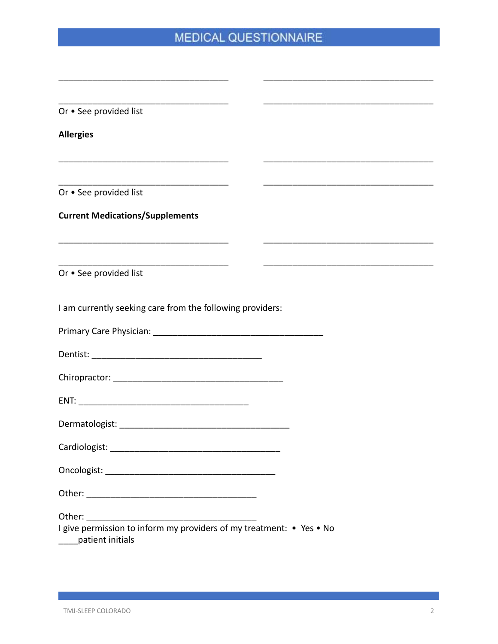$\overline{\phantom{0}}$ 

Or . See provided list

**Allergies** 

Or . See provided list

#### **Current Medications/Supplements**

Or • See provided list

I am currently seeking care from the following providers:

| I give permission to inform my providers of my treatment: • Yes • No<br>____patient initials |
|----------------------------------------------------------------------------------------------|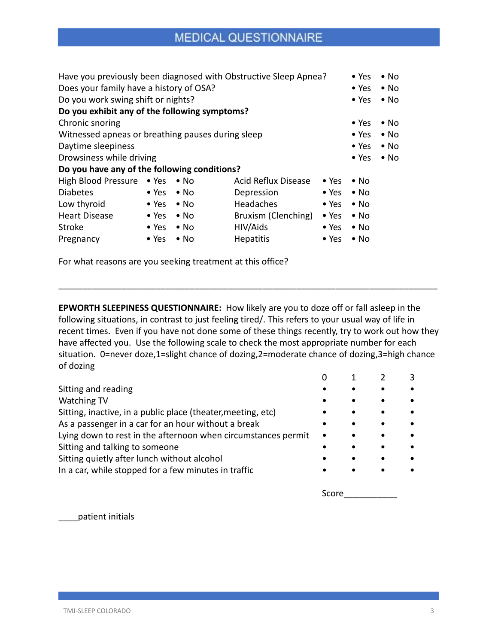| Have you previously been diagnosed with Obstructive Sleep Apnea? |               |              |                     | $\bullet$ Yes | $\bullet$ No  |              |
|------------------------------------------------------------------|---------------|--------------|---------------------|---------------|---------------|--------------|
| Does your family have a history of OSA?                          |               |              |                     | $\bullet$ Yes | $\bullet$ No  |              |
| Do you work swing shift or nights?                               |               |              |                     |               | $\bullet$ Yes | $\bullet$ No |
| Do you exhibit any of the following symptoms?                    |               |              |                     |               |               |              |
| Chronic snoring                                                  |               |              |                     |               | $\bullet$ Yes | $\bullet$ No |
| Witnessed apneas or breathing pauses during sleep                |               |              | $\bullet$ Yes       | $\bullet$ No  |               |              |
| Daytime sleepiness                                               |               |              | $\bullet$ Yes       | $\bullet$ No  |               |              |
| Drowsiness while driving                                         |               |              | $\bullet$ Yes       | $\bullet$ No  |               |              |
| Do you have any of the following conditions?                     |               |              |                     |               |               |              |
| High Blood Pressure • Yes                                        |               | $\bullet$ No | Acid Reflux Disease | $\bullet$ Yes | $\bullet$ No  |              |
| <b>Diabetes</b>                                                  | $\bullet$ Yes | $\bullet$ No | Depression          | $\bullet$ Yes | $\bullet$ No  |              |
| Low thyroid                                                      | $\bullet$ Yes | $\bullet$ No | <b>Headaches</b>    | $\bullet$ Yes | $\bullet$ No  |              |
| <b>Heart Disease</b>                                             | $\bullet$ Yes | $\bullet$ No | Bruxism (Clenching) | $\bullet$ Yes | $\bullet$ No  |              |
| <b>Stroke</b>                                                    | $\bullet$ Yes | $\bullet$ No | HIV/Aids            | $\bullet$ Yes | $\bullet$ No  |              |
| Pregnancy                                                        | $\bullet$ Yes | $\bullet$ No | <b>Hepatitis</b>    | $\bullet$ Yes | $\bullet$ No  |              |

For what reasons are you seeking treatment at this office?

**EPWORTH SLEEPINESS QUESTIONNAIRE:** How likely are you to doze off or fall asleep in the following situations, in contrast to just feeling tired/. This refers to your usual way of life in recent times. Even if you have not done some of these things recently, try to work out how they have affected you. Use the following scale to check the most appropriate number for each situation. 0=never doze,1=slight chance of dozing,2=moderate chance of dozing,3=high chance of dozing

\_\_\_\_\_\_\_\_\_\_\_\_\_\_\_\_\_\_\_\_\_\_\_\_\_\_\_\_\_\_\_\_\_\_\_\_\_\_\_\_\_\_\_\_\_\_\_\_\_\_\_\_\_\_\_\_\_\_\_\_\_\_\_\_\_\_\_\_\_\_\_\_\_\_\_\_\_\_

|                                                               |           |           |           | 3 |
|---------------------------------------------------------------|-----------|-----------|-----------|---|
| Sitting and reading                                           |           |           |           |   |
| <b>Watching TV</b>                                            | ٠         |           |           |   |
| Sitting, inactive, in a public place (theater, meeting, etc)  | ٠         | $\bullet$ | $\bullet$ |   |
| As a passenger in a car for an hour without a break           |           |           |           |   |
| Lying down to rest in the afternoon when circumstances permit | $\bullet$ | $\bullet$ | $\bullet$ |   |
| Sitting and talking to someone                                |           | $\bullet$ |           |   |
| Sitting quietly after lunch without alcohol                   |           | $\bullet$ |           |   |
| In a car, while stopped for a few minutes in traffic          |           |           |           |   |
|                                                               |           |           |           |   |

Score

\_\_\_\_patient initials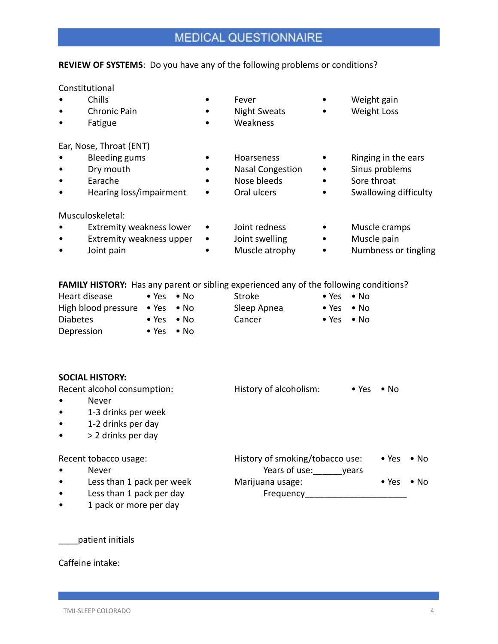#### **REVIEW OF SYSTEMS**: Do you have any of the following problems or conditions?

Constitutional

- Chills Fever Weight gain
- Chronic Pain Night Sweats Weight Loss
- Fatigue Weakness
- 
- 
- 
- 

Ear, Nose, Throat (ENT)

- Bleeding gums Hoarseness Ringing in the ears
- Dry mouth Nasal Congestion Sinus problems
- Earache Nose bleeds Sore throat
- Hearing loss/impairment Oral ulcers Swallowing difficulty
- Musculoskeletal:
- Extremity weakness lower Joint redness Muscle cramps
- Extremity weakness upper Joint swelling Muscle pain
- 
- 
- 
- 
- 
- Joint pain Muscle atrophy Numbness or tingling

**FAMILY HISTORY:** Has any parent or sibling experienced any of the following conditions?

| Heart disease                                  | $\bullet$ Yes $\bullet$ No | Stroke      | $\bullet$ Yes $\bullet$ No |  |
|------------------------------------------------|----------------------------|-------------|----------------------------|--|
| High blood pressure $\bullet$ Yes $\bullet$ No |                            | Sleep Apnea | $\bullet$ Yes $\bullet$ No |  |
| <b>Diabetes</b>                                | $\bullet$ Yes $\bullet$ No | Cancer      | $\bullet$ Yes $\bullet$ No |  |
| Depression                                     | $\bullet$ Yes $\bullet$ No |             |                            |  |

|           | <b>SOCIAL HISTORY:</b>      |                                 |               |               |              |
|-----------|-----------------------------|---------------------------------|---------------|---------------|--------------|
|           | Recent alcohol consumption: | History of alcoholism:          | $\bullet$ Yes | $\bullet$ No  |              |
|           | <b>Never</b>                |                                 |               |               |              |
| $\bullet$ | 1-3 drinks per week         |                                 |               |               |              |
| $\bullet$ | 1-2 drinks per day          |                                 |               |               |              |
| $\bullet$ | > 2 drinks per day          |                                 |               |               |              |
|           | Recent tobacco usage:       | History of smoking/tobacco use: |               | $\bullet$ Yes | $\bullet$ No |
|           | Never                       | Years of use:                   | vears         |               |              |
| $\bullet$ | Less than 1 pack per week   | Marijuana usage:                |               | $\bullet$ Yes | $\bullet$ No |
| $\bullet$ | Less than 1 pack per day    | Frequency                       |               |               |              |

• 1 pack or more per day

\_\_\_\_patient initials

Caffeine intake: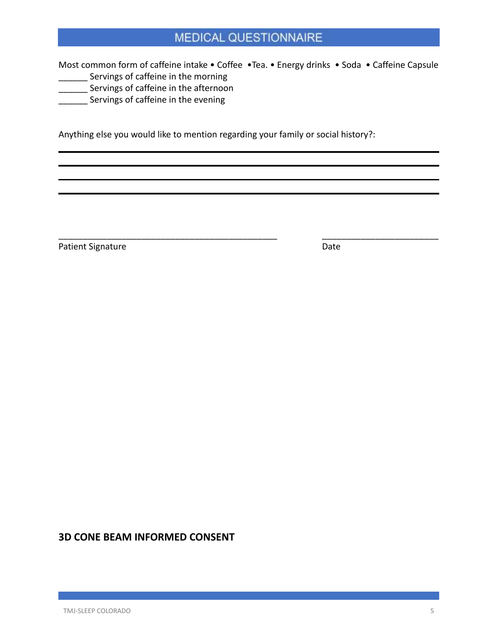Most common form of caffeine intake • Coffee • Tea. • Energy drinks • Soda • Caffeine Capsule **\_\_\_\_\_\_** Servings of caffeine in the morning

\_\_\_\_\_\_\_\_\_\_\_\_\_\_\_\_\_\_\_\_\_\_\_\_\_\_\_\_\_\_\_\_\_\_\_\_\_\_\_\_\_\_\_\_\_ \_\_\_\_\_\_\_\_\_\_\_\_\_\_\_\_\_\_\_\_\_\_\_\_

- **\_\_\_\_\_\_** Servings of caffeine in the afternoon
- **\_\_\_\_\_\_** Servings of caffeine in the evening

Anything else you would like to mention regarding your family or social history?:

Patient Signature Date Date

### **3D CONE BEAM INFORMED CONSENT**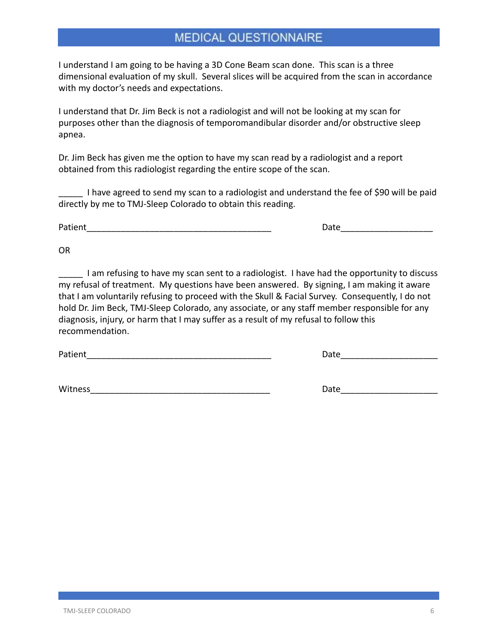I understand I am going to be having a 3D Cone Beam scan done. This scan is a three dimensional evaluation of my skull. Several slices will be acquired from the scan in accordance with my doctor's needs and expectations.

I understand that Dr. Jim Beck is not a radiologist and will not be looking at my scan for purposes other than the diagnosis of temporomandibular disorder and/or obstructive sleep apnea.

Dr. Jim Beck has given me the option to have my scan read by a radiologist and a report obtained from this radiologist regarding the entire scope of the scan.

I have agreed to send my scan to a radiologist and understand the fee of \$90 will be paid directly by me to TMJ-Sleep Colorado to obtain this reading.

Patient **Example 20** and the contract of the contract of the contract of the contract of the contract of the contract of the contract of the contract of the contract of the contract of the contract of the contract of the c

OR

I am refusing to have my scan sent to a radiologist. I have had the opportunity to discuss my refusal of treatment. My questions have been answered. By signing, I am making it aware that I am voluntarily refusing to proceed with the Skull & Facial Survey. Consequently, I do not hold Dr. Jim Beck, TMJ-Sleep Colorado, any associate, or any staff member responsible for any diagnosis, injury, or harm that I may suffer as a result of my refusal to follow this recommendation.

Patient\_\_\_\_\_\_\_\_\_\_\_\_\_\_\_\_\_\_\_\_\_\_\_\_\_\_\_\_\_\_\_\_\_\_\_\_\_\_ Date\_\_\_\_\_\_\_\_\_\_\_\_\_\_\_\_\_\_\_\_

Witness **Example 20 and 20 and 20 and 20 and 20 and 20 and 20 and 20 and 20 and 20 and 20 and 20 and 20 and 20 and 20 and 20 and 20 and 20 and 20 and 20 and 20 and 20 and 20 and 20 and 20 and 20 and 20 and 20 and 20 and 20**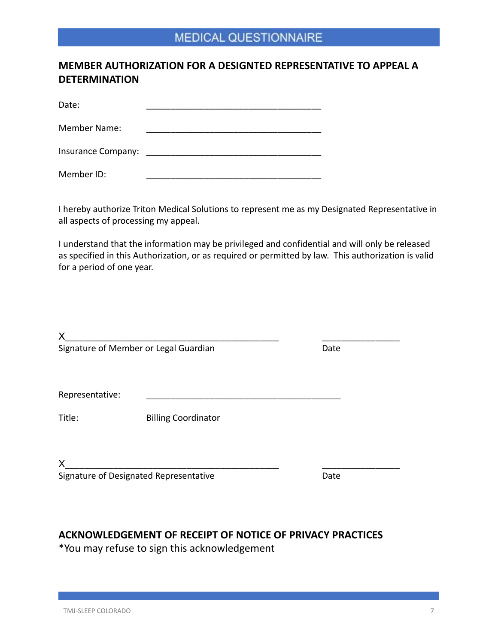### **MEMBER AUTHORIZATION FOR A DESIGNTED REPRESENTATIVE TO APPEAL A DETERMINATION**

Date: \_\_\_\_\_\_\_\_\_\_\_\_\_\_\_\_\_\_\_\_\_\_\_\_\_\_\_\_\_\_\_\_\_\_\_\_

Member Name:

Insurance Company: **Example 20** 

Member ID:

I hereby authorize Triton Medical Solutions to represent me as my Designated Representative in all aspects of processing my appeal.

I understand that the information may be privileged and confidential and will only be released as specified in this Authorization, or as required or permitted by law. This authorization is valid for a period of one year.

| X                                     |                                        |      |
|---------------------------------------|----------------------------------------|------|
| Signature of Member or Legal Guardian |                                        | Date |
| Representative:                       |                                        |      |
| Title:                                | <b>Billing Coordinator</b>             |      |
| X                                     | Signature of Designated Representative | Date |
|                                       |                                        |      |

### **ACKNOWLEDGEMENT OF RECEIPT OF NOTICE OF PRIVACY PRACTICES**

\*You may refuse to sign this acknowledgement